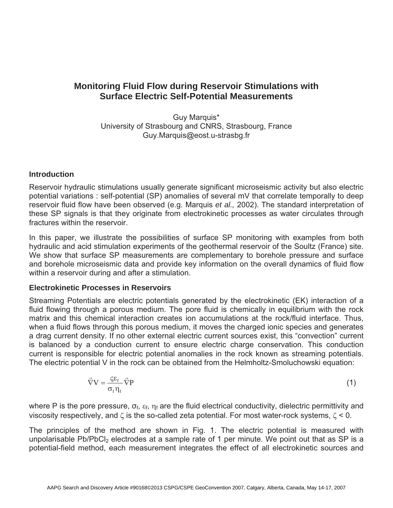# **Monitoring Fluid Flow during Reservoir Stimulations with Surface Electric Self-Potential Measurements**

Guy Marquis\* University of Strasbourg and CNRS, Strasbourg, France Guy.Marquis@eost.u-strasbg.fr

## **Introduction**

Reservoir hydraulic stimulations usually generate significant microseismic activity but also electric potential variations : self-potential (SP) anomalies of several mV that correlate temporally to deep reservoir fluid flow have been observed (e.g. Marquis *et al.,* 2002). The standard interpretation of these SP signals is that they originate from electrokinetic processes as water circulates through fractures within the reservoir.

In this paper, we illustrate the possibilities of surface SP monitoring with examples from both hydraulic and acid stimulation experiments of the geothermal reservoir of the Soultz (France) site. We show that surface SP measurements are complementary to borehole pressure and surface and borehole microseismic data and provide key information on the overall dynamics of fluid flow within a reservoir during and after a stimulation.

## **Electrokinetic Processes in Reservoirs**

Streaming Potentials are electric potentials generated by the electrokinetic (EK) interaction of a fluid flowing through a porous medium. The pore fluid is chemically in equilibrium with the rock matrix and this chemical interaction creates ion accumulations at the rock/fluid interface. Thus, when a fluid flows through this porous medium, it moves the charged ionic species and generates a drag current density. If no other external electric current sources exist, this "convection" current is balanced by a conduction current to ensure electric charge conservation. This conduction current is responsible for electric potential anomalies in the rock known as streaming potentials. The electric potential V in the rock can be obtained from the Helmholtz-Smoluchowski equation:

$$
\vec{\nabla}V = \frac{\zeta \varepsilon_f}{\sigma_f \eta_f} \vec{\nabla}P
$$
 (1)

where P is the pore pressure,  $\sigma_f$ ,  $\varepsilon_f$ ,  $\eta_f$  are the fluid electrical conductivity, dielectric permittivity and viscosity respectively, and  $\zeta$  is the so-called zeta potential. For most water-rock systems,  $\zeta$  < 0.

The principles of the method are shown in Fig. 1. The electric potential is measured with unpolarisable  $Pb/PbCl<sub>2</sub>$  electrodes at a sample rate of 1 per minute. We point out that as SP is a potential-field method, each measurement integrates the effect of all electrokinetic sources and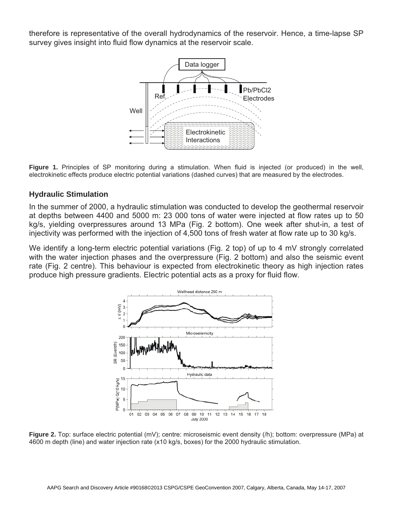therefore is representative of the overall hydrodynamics of the reservoir. Hence, a time-lapse SP survey gives insight into fluid flow dynamics at the reservoir scale.



**Figure 1.** Principles of SP monitoring during a stimulation. When fluid is injected (or produced) in the well, electrokinetic effects produce electric potential variations (dashed curves) that are measured by the electrodes.

#### **Hydraulic Stimulation**

In the summer of 2000, a hydraulic stimulation was conducted to develop the geothermal reservoir at depths between 4400 and 5000 m: 23 000 tons of water were injected at flow rates up to 50 kg/s, yielding overpressures around 13 MPa (Fig. 2 bottom). One week after shut-in, a test of injectivity was performed with the injection of 4,500 tons of fresh water at flow rate up to 30 kg/s.

We identify a long-term electric potential variations (Fig. 2 top) of up to 4 mV strongly correlated with the water injection phases and the overpressure (Fig. 2 bottom) and also the seismic event rate (Fig. 2 centre). This behaviour is expected from electrokinetic theory as high injection rates produce high pressure gradients. Electric potential acts as a proxy for fluid flow.



**Figure 2.** Top: surface electric potential (mV); centre: microseismic event density (/h); bottom: overpressure (MPa) at 4600 m depth (line) and water injection rate (x10 kg/s, boxes) for the 2000 hydraulic stimulation.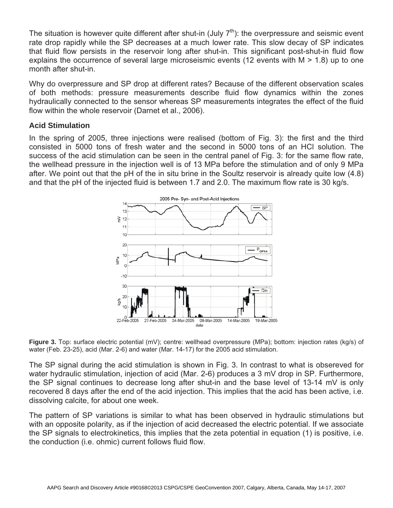The situation is however quite different after shut-in (July  $7<sup>th</sup>$ ): the overpressure and seismic event rate drop rapidly while the SP decreases at a much lower rate. This slow decay of SP indicates that fluid flow persists in the reservoir long after shut-in. This significant post-shut-in fluid flow explains the occurrence of several large microseismic events (12 events with M > 1.8) up to one month after shut-in.

Why do overpressure and SP drop at different rates? Because of the different observation scales of both methods: pressure measurements describe fluid flow dynamics within the zones hydraulically connected to the sensor whereas SP measurements integrates the effect of the fluid flow within the whole reservoir (Darnet et al., 2006).

#### **Acid Stimulation**

In the spring of 2005, three injections were realised (bottom of Fig. 3): the first and the third consisted in 5000 tons of fresh water and the second in 5000 tons of an HCl solution. The success of the acid stimulation can be seen in the central panel of Fig. 3: for the same flow rate, the wellhead pressure in the injection well is of 13 MPa before the stimulation and of only 9 MPa after. We point out that the pH of the in situ brine in the Soultz reservoir is already quite low (4.8) and that the pH of the injected fluid is between 1.7 and 2.0. The maximum flow rate is 30 kg/s.



**Figure 3.** Top: surface electric potential (mV); centre: wellhead overpressure (MPa); bottom: injection rates (kg/s) of water (Feb. 23-25), acid (Mar. 2-6) and water (Mar. 14-17) for the 2005 acid stimulation.

The SP signal during the acid stimulation is shown in Fig. 3. In contrast to what is obsereved for water hydraulic stimulation, injection of acid (Mar. 2-6) produces a 3 mV drop in SP. Furthermore, the SP signal continues to decrease long after shut-in and the base level of 13-14 mV is only recovered 8 days after the end of the acid injection. This implies that the acid has been active, i.e. dissolving calcite, for about one week.

The pattern of SP variations is similar to what has been observed in hydraulic stimulations but with an opposite polarity, as if the injection of acid decreased the electric potential. If we associate the SP signals to electrokinetics, this implies that the zeta potential in equation (1) is positive, i.e. the conduction (i.e. ohmic) current follows fluid flow.